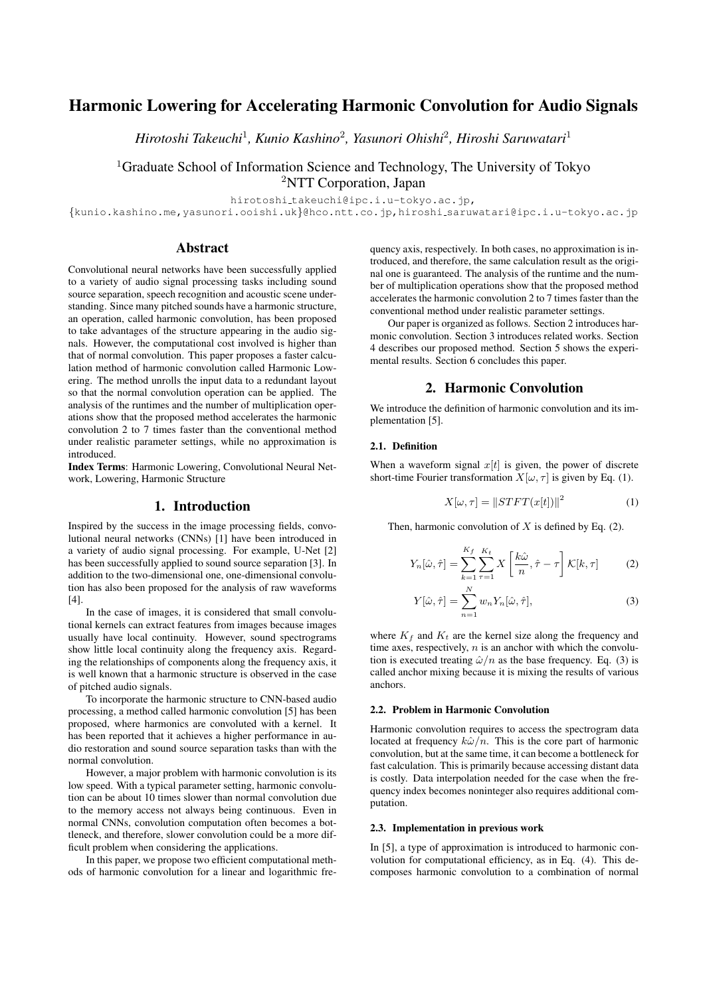# Harmonic Lowering for Accelerating Harmonic Convolution for Audio Signals

*Hirotoshi Takeuchi*<sup>1</sup> *, Kunio Kashino*<sup>2</sup> *, Yasunori Ohishi*<sup>2</sup> *, Hiroshi Saruwatari*<sup>1</sup>

<sup>1</sup>Graduate School of Information Science and Technology, The University of Tokyo <sup>2</sup>NTT Corporation, Japan

hirotoshi takeuchi@ipc.i.u-tokyo.ac.jp,

*{*kunio.kashino.me,yasunori.ooishi.uk*}*@hco.ntt.co.jp,hiroshi saruwatari@ipc.i.u-tokyo.ac.jp

## Abstract

Convolutional neural networks have been successfully applied to a variety of audio signal processing tasks including sound source separation, speech recognition and acoustic scene understanding. Since many pitched sounds have a harmonic structure, an operation, called harmonic convolution, has been proposed to take advantages of the structure appearing in the audio signals. However, the computational cost involved is higher than that of normal convolution. This paper proposes a faster calculation method of harmonic convolution called Harmonic Lowering. The method unrolls the input data to a redundant layout so that the normal convolution operation can be applied. The analysis of the runtimes and the number of multiplication operations show that the proposed method accelerates the harmonic convolution 2 to 7 times faster than the conventional method under realistic parameter settings, while no approximation is introduced.

Index Terms: Harmonic Lowering, Convolutional Neural Network, Lowering, Harmonic Structure

### 1. Introduction

Inspired by the success in the image processing fields, convolutional neural networks (CNNs) [1] have been introduced in a variety of audio signal processing. For example, U-Net [2] has been successfully applied to sound source separation [3]. In addition to the two-dimensional one, one-dimensional convolution has also been proposed for the analysis of raw waveforms [4].

In the case of images, it is considered that small convolutional kernels can extract features from images because images usually have local continuity. However, sound spectrograms show little local continuity along the frequency axis. Regarding the relationships of components along the frequency axis, it is well known that a harmonic structure is observed in the case of pitched audio signals.

To incorporate the harmonic structure to CNN-based audio processing, a method called harmonic convolution [5] has been proposed, where harmonics are convoluted with a kernel. It has been reported that it achieves a higher performance in audio restoration and sound source separation tasks than with the normal convolution.

However, a major problem with harmonic convolution is its low speed. With a typical parameter setting, harmonic convolution can be about 10 times slower than normal convolution due to the memory access not always being continuous. Even in normal CNNs, convolution computation often becomes a bottleneck, and therefore, slower convolution could be a more difficult problem when considering the applications.

In this paper, we propose two efficient computational methods of harmonic convolution for a linear and logarithmic frequency axis, respectively. In both cases, no approximation is introduced, and therefore, the same calculation result as the original one is guaranteed. The analysis of the runtime and the number of multiplication operations show that the proposed method accelerates the harmonic convolution 2 to 7 times faster than the conventional method under realistic parameter settings.

Our paper is organized as follows. Section 2 introduces harmonic convolution. Section 3 introduces related works. Section 4 describes our proposed method. Section 5 shows the experimental results. Section 6 concludes this paper.

## 2. Harmonic Convolution

We introduce the definition of harmonic convolution and its implementation [5].

# 2.1. Definition

When a waveform signal  $x[t]$  is given, the power of discrete short-time Fourier transformation  $X[\omega, \tau]$  is given by Eq. (1).

$$
X[\omega, \tau] = \|STFT(x[t])\|^2 \tag{1}
$$

Then, harmonic convolution of *X* is defined by Eq. (2).

$$
Y_n[\hat{\omega}, \hat{\tau}] = \sum_{k=1}^{K_f} \sum_{\tau=1}^{K_t} X\left[\frac{k\hat{\omega}}{n}, \hat{\tau} - \tau\right] \mathcal{K}[k, \tau] \tag{2}
$$

$$
Y[\hat{\omega}, \hat{\tau}] = \sum_{n=1}^{N} w_n Y_n[\hat{\omega}, \hat{\tau}], \tag{3}
$$

where  $K_f$  and  $K_t$  are the kernel size along the frequency and time axes, respectively, *n* is an anchor with which the convolution is executed treating  $\hat{\omega}/n$  as the base frequency. Eq. (3) is called anchor mixing because it is mixing the results of various anchors.

#### 2.2. Problem in Harmonic Convolution

Harmonic convolution requires to access the spectrogram data located at frequency  $k\hat{\omega}/n$ . This is the core part of harmonic convolution, but at the same time, it can become a bottleneck for fast calculation. This is primarily because accessing distant data is costly. Data interpolation needed for the case when the frequency index becomes noninteger also requires additional computation.

### 2.3. Implementation in previous work

In [5], a type of approximation is introduced to harmonic convolution for computational efficiency, as in Eq. (4). This decomposes harmonic convolution to a combination of normal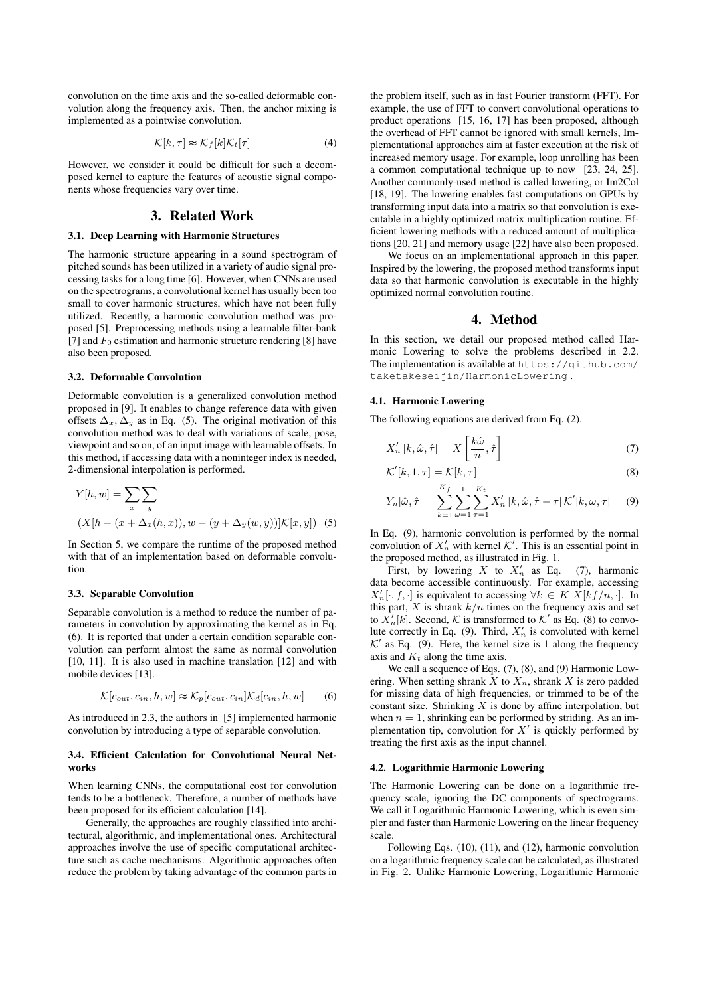convolution on the time axis and the so-called deformable convolution along the frequency axis. Then, the anchor mixing is implemented as a pointwise convolution.

$$
\mathcal{K}[k,\tau] \approx \mathcal{K}_f[k]\mathcal{K}_t[\tau]
$$
\n(4)

However, we consider it could be difficult for such a decomposed kernel to capture the features of acoustic signal components whose frequencies vary over time.

### 3. Related Work

### 3.1. Deep Learning with Harmonic Structures

The harmonic structure appearing in a sound spectrogram of pitched sounds has been utilized in a variety of audio signal processing tasks for a long time [6]. However, when CNNs are used on the spectrograms, a convolutional kernel has usually been too small to cover harmonic structures, which have not been fully utilized. Recently, a harmonic convolution method was proposed [5]. Preprocessing methods using a learnable filter-bank [7] and *F*<sup>0</sup> estimation and harmonic structure rendering [8] have also been proposed.

#### 3.2. Deformable Convolution

Deformable convolution is a generalized convolution method proposed in [9]. It enables to change reference data with given offsets  $\Delta_x, \Delta_y$  as in Eq. (5). The original motivation of this convolution method was to deal with variations of scale, pose, viewpoint and so on, of an input image with learnable offsets. In this method, if accessing data with a noninteger index is needed, 2-dimensional interpolation is performed.

$$
Y[h, w] = \sum_{x} \sum_{y}
$$
  

$$
(X[h - (x + \Delta_x(h, x)), w - (y + \Delta_y(w, y))] \mathcal{K}[x, y])
$$
 (5)

In Section 5, we compare the runtime of the proposed method with that of an implementation based on deformable convolution.

### 3.3. Separable Convolution

Separable convolution is a method to reduce the number of parameters in convolution by approximating the kernel as in Eq. (6). It is reported that under a certain condition separable convolution can perform almost the same as normal convolution [10, 11]. It is also used in machine translation [12] and with mobile devices [13].

$$
\mathcal{K}[c_{out}, c_{in}, h, w] \approx \mathcal{K}_p[c_{out}, c_{in}] \mathcal{K}_d[c_{in}, h, w]
$$
 (6)

As introduced in 2.3, the authors in [5] implemented harmonic convolution by introducing a type of separable convolution.

### 3.4. Efficient Calculation for Convolutional Neural Networks

When learning CNNs, the computational cost for convolution tends to be a bottleneck. Therefore, a number of methods have been proposed for its efficient calculation [14].

Generally, the approaches are roughly classified into architectural, algorithmic, and implementational ones. Architectural approaches involve the use of specific computational architecture such as cache mechanisms. Algorithmic approaches often reduce the problem by taking advantage of the common parts in

the problem itself, such as in fast Fourier transform (FFT). For example, the use of FFT to convert convolutional operations to product operations [15, 16, 17] has been proposed, although the overhead of FFT cannot be ignored with small kernels, Implementational approaches aim at faster execution at the risk of increased memory usage. For example, loop unrolling has been a common computational technique up to now [23, 24, 25]. Another commonly-used method is called lowering, or Im2Col [18, 19]. The lowering enables fast computations on GPUs by transforming input data into a matrix so that convolution is executable in a highly optimized matrix multiplication routine. Efficient lowering methods with a reduced amount of multiplications [20, 21] and memory usage [22] have also been proposed.

We focus on an implementational approach in this paper. Inspired by the lowering, the proposed method transforms input data so that harmonic convolution is executable in the highly optimized normal convolution routine.

### 4. Method

In this section, we detail our proposed method called Harmonic Lowering to solve the problems described in 2.2. The implementation is available at https://github.com/ taketakeseijin/HarmonicLowering .

### 4.1. Harmonic Lowering

The following equations are derived from Eq. (2).

$$
X_n'\left[k,\hat{\omega},\hat{\tau}\right] = X\left[\frac{k\hat{\omega}}{n},\hat{\tau}\right]
$$
\n(7)

$$
\mathcal{K}'[k, 1, \tau] = \mathcal{K}[k, \tau]
$$
\n(8)

$$
Y_n[\hat{\omega}, \hat{\tau}] = \sum_{k=1}^{K_f} \sum_{\omega=1}^{1} \sum_{\tau=1}^{K_t} X'_n [k, \hat{\omega}, \hat{\tau} - \tau] \mathcal{K}'[k, \omega, \tau] \tag{9}
$$

In Eq. (9), harmonic convolution is performed by the normal convolution of  $X'_n$  with kernel  $K'$ . This is an essential point in the proposed method, as illustrated in Fig. 1.

First, by lowering  $X$  to  $X'_i$ *(7)*, harmonic data become accessible continuously. For example, accessing *X*<sup>'</sup><sub>n</sub>[⋅, *f*, ⋅] is equivalent to accessing  $∀k ∈ K X[kf/n, ⋅]$ . In this part,  $X$  is shrank  $k/n$  times on the frequency axis and set to  $X'_n[k]$ . Second,  $K$  is transformed to  $K'$  as Eq. (8) to convolute correctly in Eq. (9). Third,  $X'_n$  is convoluted with kernel  $K'$  as Eq. (9). Here, the kernel size is 1 along the frequency axis and  $K_t$  along the time axis.

We call a sequence of Eqs.  $(7)$ ,  $(8)$ , and  $(9)$  Harmonic Lowering. When setting shrank *X* to *Xn*, shrank *X* is zero padded for missing data of high frequencies, or trimmed to be of the constant size. Shrinking *X* is done by affine interpolation, but when  $n = 1$ , shrinking can be performed by striding. As an implementation tip, convolution for *X ′* is quickly performed by treating the first axis as the input channel.

### 4.2. Logarithmic Harmonic Lowering

The Harmonic Lowering can be done on a logarithmic frequency scale, ignoring the DC components of spectrograms. We call it Logarithmic Harmonic Lowering, which is even simpler and faster than Harmonic Lowering on the linear frequency scale.

Following Eqs. (10), (11), and (12), harmonic convolution on a logarithmic frequency scale can be calculated, as illustrated in Fig. 2. Unlike Harmonic Lowering, Logarithmic Harmonic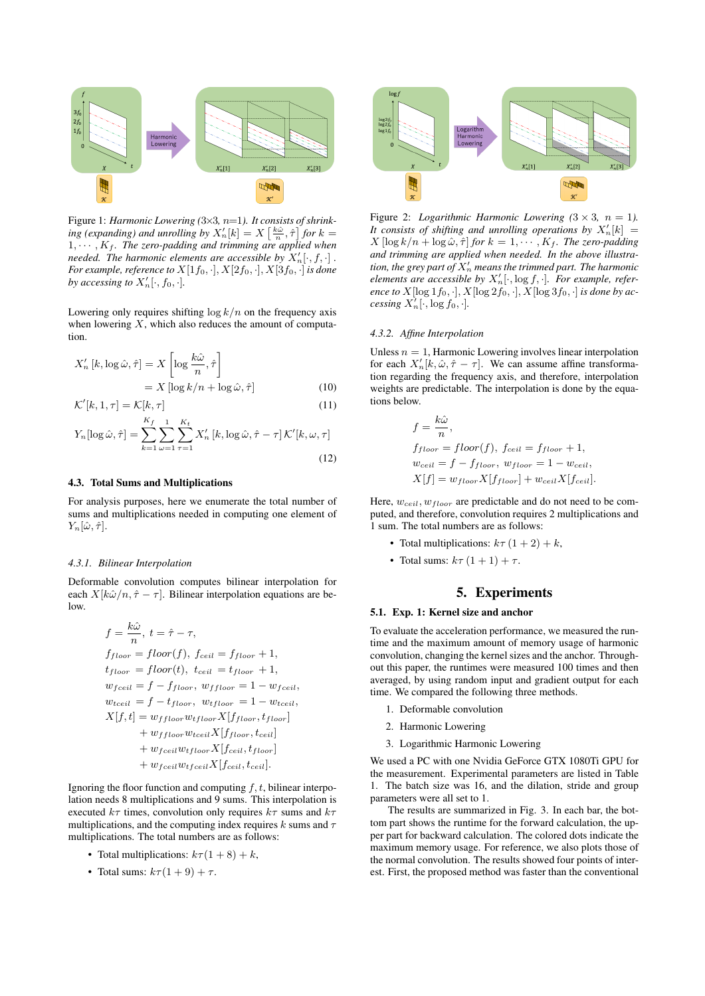

Figure 1: *Harmonic Lowering (*3*×*3*, n*=1*). It consists of shrinking (expanding) and unrolling by*  $X'_n[k] = X\left[\frac{k\hat{\omega}}{n}, \hat{\tau}\right]$  for  $k =$  $1, \cdots, K_f$ . The zero-padding and trimming are applied when *needed. The harmonic elements are accessible by*  $X'_n[\cdot, f, \cdot]$  *. For example, reference to*  $X[1f_0, \cdot]$ ,  $X[2f_0, \cdot]$ ,  $X[3f_0, \cdot]$  *is done by accessing to*  $X'_n[\cdot, f_0, \cdot]$ *.* 

Lowering only requires shifting  $\log k/n$  on the frequency axis when lowering *X*, which also reduces the amount of computation.

$$
X'_{n}[k, \log \hat{\omega}, \hat{\tau}] = X \left[ \log \frac{k\hat{\omega}}{n}, \hat{\tau} \right]
$$

$$
= X \left[ \log k/n + \log \hat{\omega}, \hat{\tau} \right]
$$
(10)

$$
\mathcal{K}'[k, 1, \tau] = \mathcal{K}[k, \tau] \tag{11}
$$

$$
Y_n[\log \hat{\omega}, \hat{\tau}] = \sum_{k=1}^{K_f} \sum_{\omega=1}^1 \sum_{\tau=1}^{K_t} X'_n [k, \log \hat{\omega}, \hat{\tau} - \tau] \mathcal{K}'[k, \omega, \tau]
$$
\n(12)

#### 4.3. Total Sums and Multiplications

For analysis purposes, here we enumerate the total number of sums and multiplications needed in computing one element of  $Y_n[\hat{\omega}, \hat{\tau}].$ 

#### *4.3.1. Bilinear Interpolation*

Deformable convolution computes bilinear interpolation for each  $X[k\hat{\omega}/n, \hat{\tau} - \tau]$ . Bilinear interpolation equations are below.

$$
f = \frac{k\hat{\omega}}{n}, t = \hat{\tau} - \tau,
$$
  
\n
$$
f_{floor} = floor(f), f_{ceil} = f_{floor} + 1,
$$
  
\n
$$
t_{floor} = floor(t), t_{ceil} = t_{floor} + 1,
$$
  
\n
$$
w_{fceil} = f - f_{floor}, w_{ffloor} = 1 - w_{fceil},
$$
  
\n
$$
w_{tceil} = f - t_{floor}, w_{tfloor} = 1 - w_{tceil},
$$
  
\n
$$
X[f, t] = w_{floor}w_{tfloor}X[f_{floor}, t_{floor}] + w_{floor}w_{tceil}X[f_{floor}, t_{color}] + w_{fceil}w_{tloor}X[f_{floor}X,f_{color}] + w_{fceil}W_{floor}X[f_{rel}, t_{color}] + w_{fceil}W_{floor}X[f_{rel}, t_{color}]
$$

Ignoring the floor function and computing  $f, t$ , bilinear interpolation needs 8 multiplications and 9 sums. This interpolation is executed *kτ* times, convolution only requires *kτ* sums and *kτ* multiplications, and the computing index requires *k* sums and *τ* multiplications. The total numbers are as follows:

- Total multiplications:  $k\tau(1+8) + k$ ,
- Total sums:  $k\tau(1+9) + \tau$ .



Figure 2: *Logarithmic Harmonic Lowering*  $(3 \times 3, n = 1)$ . It consists of shifting and unrolling operations by  $X'_n[k] =$  $X \left[ \log k/n + \log \hat{\omega}, \hat{\tau} \right]$  *for*  $k = 1, \dots, K_f$ . *The zero-padding and trimming are applied when needed. In the above illustra*tion, the grey part of  $X_n'$  means the trimmed part. The harmonic *elements are accessible by*  $X'_n[\cdot, \log f, \cdot]$ *. For example, reference to*  $X[\log 1f_0, \cdot]$ *,*  $X[\log 2f_0, \cdot]$ *,*  $X[\log 3f_0, \cdot]$  *is done by accessing*  $X'_n[\cdot, \log f_0, \cdot]$ *.* 

#### *4.3.2. Affine Interpolation*

Unless  $n = 1$ , Harmonic Lowering involves linear interpolation for each  $X'_n[k, \hat{\omega}, \hat{\tau} - \tau]$ . We can assume affine transformation regarding the frequency axis, and therefore, interpolation weights are predictable. The interpolation is done by the equations below.

$$
f = \frac{k\hat{\omega}}{n},
$$
  
\n
$$
f_{floor} = floor(f), \ f_{ceil} = f_{floor} + 1,
$$
  
\n
$$
w_{ceil} = f - f_{floor}, \ w_{floor} = 1 - w_{ceil},
$$
  
\n
$$
X[f] = w_{floor} X[f_{floor}] + w_{ceil} X[f_{ceil}].
$$

Here,  $w_{ceil}$ ,  $w_{floor}$  are predictable and do not need to be computed, and therefore, convolution requires 2 multiplications and 1 sum. The total numbers are as follows:

- Total multiplications:  $k\tau(1+2) + k$ ,
- Total sums:  $k\tau(1+1) + \tau$ .

# 5. Experiments

#### 5.1. Exp. 1: Kernel size and anchor

To evaluate the acceleration performance, we measured the runtime and the maximum amount of memory usage of harmonic convolution, changing the kernel sizes and the anchor. Throughout this paper, the runtimes were measured 100 times and then averaged, by using random input and gradient output for each time. We compared the following three methods.

- 1. Deformable convolution
- 2. Harmonic Lowering
- 3. Logarithmic Harmonic Lowering

We used a PC with one Nvidia GeForce GTX 1080Ti GPU for the measurement. Experimental parameters are listed in Table 1. The batch size was 16, and the dilation, stride and group parameters were all set to 1.

The results are summarized in Fig. 3. In each bar, the bottom part shows the runtime for the forward calculation, the upper part for backward calculation. The colored dots indicate the maximum memory usage. For reference, we also plots those of the normal convolution. The results showed four points of interest. First, the proposed method was faster than the conventional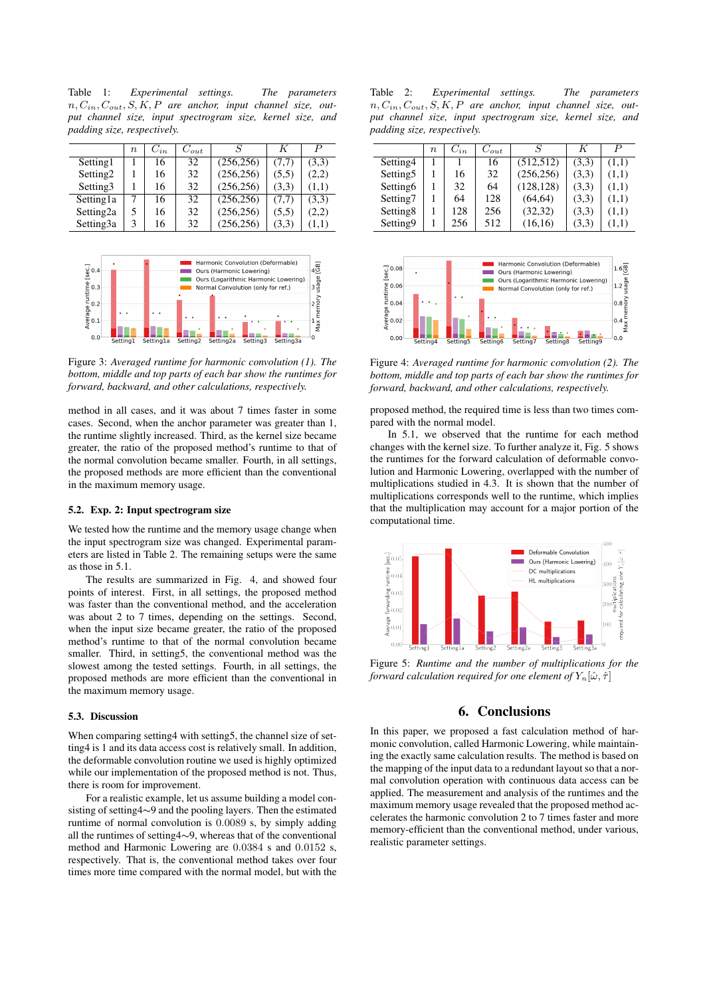Table 1: *Experimental settings. The parameters n, Cin, Cout, S, K, P are anchor, input channel size, output channel size, input spectrogram size, kernel size, and padding size, respectively.*

|                      | $n_{\rm c}$ | $C_{in}$ | $C_{out}$ |            |       | P     |
|----------------------|-------------|----------|-----------|------------|-------|-------|
| Setting1             |             | 16       | 32        | (256, 256) | (7,7) | (3,3) |
| Setting <sub>2</sub> |             | 16       | 32        | (256, 256) | (5,5) | (2,2) |
| Setting3             |             | 16       | 32        | (256, 256) | (3,3) | (1,1) |
| Settingla            |             | 16       | 32        | (256, 256) | (7,7) | (3,3) |
| Setting2a            | 5           | 16       | 32        | (256, 256) | (5.5) | (2,2) |
| Setting3a            | 3           | 16       | 32        | (256, 256) | (3,3) | (1,1) |



Figure 3: *Averaged runtime for harmonic convolution (1). The bottom, middle and top parts of each bar show the runtimes for forward, backward, and other calculations, respectively.*

method in all cases, and it was about 7 times faster in some cases. Second, when the anchor parameter was greater than 1, the runtime slightly increased. Third, as the kernel size became greater, the ratio of the proposed method's runtime to that of the normal convolution became smaller. Fourth, in all settings, the proposed methods are more efficient than the conventional in the maximum memory usage.

#### 5.2. Exp. 2: Input spectrogram size

We tested how the runtime and the memory usage change when the input spectrogram size was changed. Experimental parameters are listed in Table 2. The remaining setups were the same as those in 5.1.

The results are summarized in Fig. 4, and showed four points of interest. First, in all settings, the proposed method was faster than the conventional method, and the acceleration was about 2 to 7 times, depending on the settings. Second, when the input size became greater, the ratio of the proposed method's runtime to that of the normal convolution became smaller. Third, in setting5, the conventional method was the slowest among the tested settings. Fourth, in all settings, the proposed methods are more efficient than the conventional in the maximum memory usage.

#### 5.3. Discussion

When comparing setting4 with setting5, the channel size of setting4 is 1 and its data access cost is relatively small. In addition, the deformable convolution routine we used is highly optimized while our implementation of the proposed method is not. Thus, there is room for improvement.

For a realistic example, let us assume building a model consisting of setting4∼9 and the pooling layers. Then the estimated runtime of normal convolution is 0*.*0089 s, by simply adding all the runtimes of setting4∼9, whereas that of the conventional method and Harmonic Lowering are 0*.*0384 s and 0*.*0152 s, respectively. That is, the conventional method takes over four times more time compared with the normal model, but with the

Table 2: *Experimental settings. The parameters*  $n, C_{in}, C_{out}, S, K, P$  are anchor, input channel size, out*put channel size, input spectrogram size, kernel size, and padding size, respectively.*

|                      | $\,n$ | $C_{in}$ | $C_{out}$ |            |       | P     |
|----------------------|-------|----------|-----------|------------|-------|-------|
| Setting4             |       |          | 16        | (512, 512) | (3,3) | (1,1) |
| Setting <sub>5</sub> |       | 16       | 32        | (256, 256) | (3,3) | (1,1) |
| Setting <sub>6</sub> |       | 32       | 64        | (128, 128) | (3,3) | (1,1) |
| Setting7             |       | 64       | 128       | (64, 64)   | (3,3) | (1,1) |
| Setting <sub>8</sub> |       | 128      | 256       | (32, 32)   | (3,3) | (1,1) |
| Setting9             |       | 256      | 512       | (16,16)    | (3,3) | (1,1) |



Figure 4: *Averaged runtime for harmonic convolution (2). The bottom, middle and top parts of each bar show the runtimes for forward, backward, and other calculations, respectively.*

proposed method, the required time is less than two times compared with the normal model.

In 5.1, we observed that the runtime for each method changes with the kernel size. To further analyze it, Fig. 5 shows the runtimes for the forward calculation of deformable convolution and Harmonic Lowering, overlapped with the number of multiplications studied in 4.3. It is shown that the number of multiplications corresponds well to the runtime, which implies that the multiplication may account for a major portion of the computational time.



Figure 5: *Runtime and the number of multiplications for the forward calculation required for one element of*  $Y_n[\hat{\omega}, \hat{\tau}]$ 

# 6. Conclusions

In this paper, we proposed a fast calculation method of harmonic convolution, called Harmonic Lowering, while maintaining the exactly same calculation results. The method is based on the mapping of the input data to a redundant layout so that a normal convolution operation with continuous data access can be applied. The measurement and analysis of the runtimes and the maximum memory usage revealed that the proposed method accelerates the harmonic convolution 2 to 7 times faster and more memory-efficient than the conventional method, under various, realistic parameter settings.